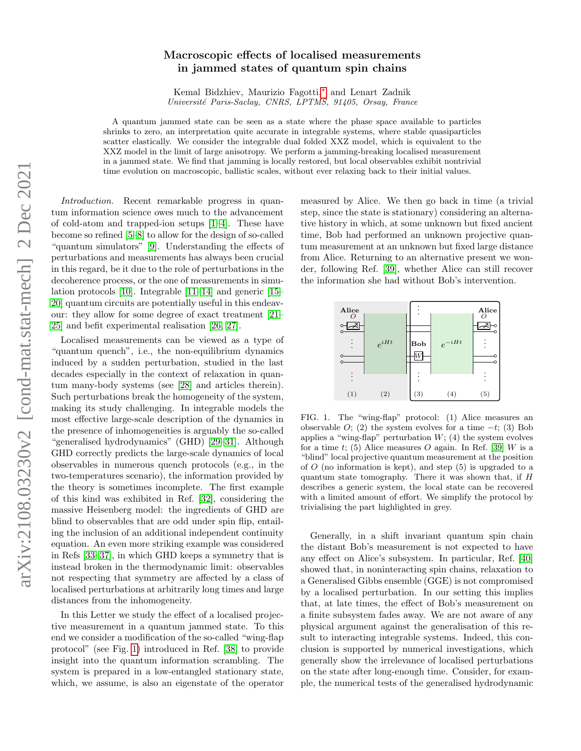# Macroscopic effects of localised measurements in jammed states of quantum spin chains

Kemal Bidzhiev, Maurizio Fagotti,[∗](#page-4-0) and Lenart Zadnik Université Paris-Saclay, CNRS, LPTMS, 91405, Orsay, France

A quantum jammed state can be seen as a state where the phase space available to particles shrinks to zero, an interpretation quite accurate in integrable systems, where stable quasiparticles scatter elastically. We consider the integrable dual folded XXZ model, which is equivalent to the XXZ model in the limit of large anisotropy. We perform a jamming-breaking localised measurement in a jammed state. We find that jamming is locally restored, but local observables exhibit nontrivial time evolution on macroscopic, ballistic scales, without ever relaxing back to their initial values.

Introduction. Recent remarkable progress in quantum information science owes much to the advancement of cold-atom and trapped-ion setups [\[1](#page-4-1)[–4\]](#page-4-2). These have become so refined [\[5–](#page-4-3)[8\]](#page-4-4) to allow for the design of so-called "quantum simulators" [\[9\]](#page-4-5). Understanding the effects of perturbations and measurements has always been crucial in this regard, be it due to the role of perturbations in the decoherence process, or the one of measurements in simulation protocols [\[10\]](#page-4-6). Integrable [\[11](#page-4-7)[–14\]](#page-4-8) and generic [\[15–](#page-4-9) [20\]](#page-4-10) quantum circuits are potentially useful in this endeavour: they allow for some degree of exact treatment [\[21–](#page-4-11) [25\]](#page-4-12) and befit experimental realisation [\[26,](#page-4-13) [27\]](#page-4-14).

Localised measurements can be viewed as a type of "quantum quench", i.e., the non-equilibrium dynamics induced by a sudden perturbation, studied in the last decades especially in the context of relaxation in quantum many-body systems (see [\[28\]](#page-4-15) and articles therein). Such perturbations break the homogeneity of the system, making its study challenging. In integrable models the most effective large-scale description of the dynamics in the presence of inhomogeneities is arguably the so-called "generalised hydrodynamics" (GHD) [\[29](#page-4-16)[–31\]](#page-4-17). Although GHD correctly predicts the large-scale dynamics of local observables in numerous quench protocols (e.g., in the two-temperatures scenario), the information provided by the theory is sometimes incomplete. The first example of this kind was exhibited in Ref. [\[32\]](#page-4-18), considering the massive Heisenberg model: the ingredients of GHD are blind to observables that are odd under spin flip, entailing the inclusion of an additional independent continuity equation. An even more striking example was considered in Refs [\[33](#page-5-0)[–37\]](#page-5-1), in which GHD keeps a symmetry that is instead broken in the thermodynamic limit: observables not respecting that symmetry are affected by a class of localised perturbations at arbitrarily long times and large distances from the inhomogeneity.

In this Letter we study the effect of a localised projective measurement in a quantum jammed state. To this end we consider a modification of the so-called "wing-flap protocol" (see Fig. [1\)](#page-0-0) introduced in Ref. [\[38\]](#page-5-2) to provide insight into the quantum information scrambling. The system is prepared in a low-entangled stationary state, which, we assume, is also an eigenstate of the operator measured by Alice. We then go back in time (a trivial step, since the state is stationary) considering an alternative history in which, at some unknown but fixed ancient time, Bob had performed an unknown projective quantum measurement at an unknown but fixed large distance from Alice. Returning to an alternative present we wonder, following Ref. [\[39\]](#page-5-3), whether Alice can still recover the information she had without Bob's intervention.

| Alice                   |           |            |            | Alice |
|-------------------------|-----------|------------|------------|-------|
| ∩<br>$\circ$<br>$\circ$ |           |            |            | ∩     |
|                         | $e^{iHt}$ | <b>Bob</b> | $e^{-iHt}$ |       |
| $\cap$                  |           |            |            |       |
|                         |           |            |            |       |
| (1)                     | (2)       | (3)        | (4)        | (5)   |

<span id="page-0-0"></span>FIG. 1. The "wing-flap" protocol: (1) Alice measures an observable  $O$ ; (2) the system evolves for a time  $-t$ ; (3) Bob applies a "wing-flap" perturbation  $W$ ; (4) the system evolves for a time t; (5) Alice measures O again. In Ref. [\[39\]](#page-5-3) W is a "blind" local projective quantum measurement at the position of  $O$  (no information is kept), and step  $(5)$  is upgraded to a quantum state tomography. There it was shown that, if H describes a generic system, the local state can be recovered with a limited amount of effort. We simplify the protocol by trivialising the part highlighted in grey.

Generally, in a shift invariant quantum spin chain the distant Bob's measurement is not expected to have any effect on Alice's subsystem. In particular, Ref. [\[40\]](#page-5-4) showed that, in noninteracting spin chains, relaxation to a Generalised Gibbs ensemble (GGE) is not compromised by a localised perturbation. In our setting this implies that, at late times, the effect of Bob's measurement on a finite subsystem fades away. We are not aware of any physical argument against the generalisation of this result to interacting integrable systems. Indeed, this conclusion is supported by numerical investigations, which generally show the irrelevance of localised perturbations on the state after long-enough time. Consider, for example, the numerical tests of the generalised hydrodynamic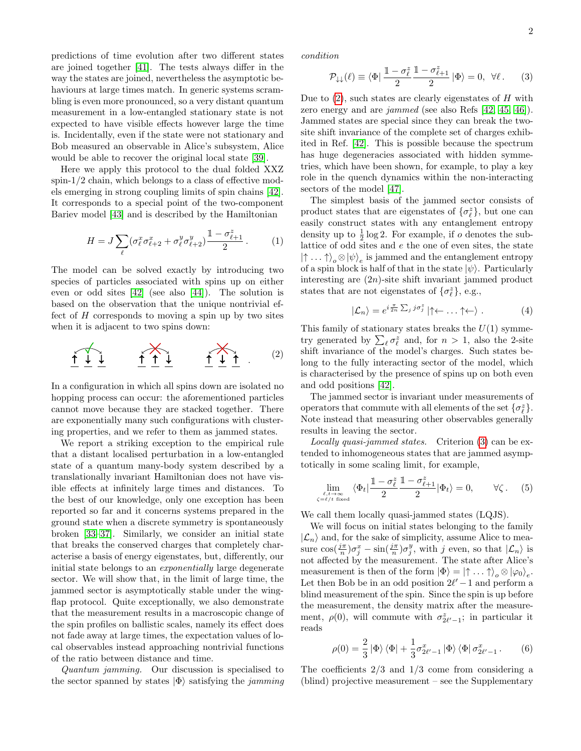2

predictions of time evolution after two different states are joined together [\[41\]](#page-5-5). The tests always differ in the way the states are joined, nevertheless the asymptotic behaviours at large times match. In generic systems scrambling is even more pronounced, so a very distant quantum measurement in a low-entangled stationary state is not expected to have visible effects however large the time is. Incidentally, even if the state were not stationary and Bob measured an observable in Alice's subsystem, Alice would be able to recover the original local state [\[39\]](#page-5-3).

Here we apply this protocol to the dual folded XXZ spin-1/2 chain, which belongs to a class of effective models emerging in strong coupling limits of spin chains [\[42\]](#page-5-6). It corresponds to a special point of the two-component Bariev model [\[43\]](#page-5-7) and is described by the Hamiltonian

<span id="page-1-4"></span>
$$
H = J \sum_{\ell} (\sigma_{\ell}^x \sigma_{\ell+2}^x + \sigma_{\ell}^y \sigma_{\ell+2}^y) \frac{1 - \sigma_{\ell+1}^z}{2}.
$$
 (1)

The model can be solved exactly by introducing two species of particles associated with spins up on either even or odd sites [\[42\]](#page-5-6) (see also [\[44\]](#page-5-8)). The solution is based on the observation that the unique nontrivial effect of  $H$  corresponds to moving a spin up by two sites when it is adjacent to two spins down:

$$
\underbrace{\uparrow\downarrow\downarrow}_{\text{1}} \qquad \underbrace{\uparrow\uparrow\downarrow}_{\text{1}} \qquad \underbrace{\uparrow\downarrow}_{\text{1}} \qquad (2)
$$

In a configuration in which all spins down are isolated no hopping process can occur: the aforementioned particles cannot move because they are stacked together. There are exponentially many such configurations with clustering properties, and we refer to them as jammed states.

We report a striking exception to the empirical rule that a distant localised perturbation in a low-entangled state of a quantum many-body system described by a translationally invariant Hamiltonian does not have visible effects at infinitely large times and distances. To the best of our knowledge, only one exception has been reported so far and it concerns systems prepared in the ground state when a discrete symmetry is spontaneously broken [\[33–](#page-5-0)[37\]](#page-5-1). Similarly, we consider an initial state that breaks the conserved charges that completely characterise a basis of energy eigenstates, but, differently, our initial state belongs to an exponentially large degenerate sector. We will show that, in the limit of large time, the jammed sector is asymptotically stable under the wingflap protocol. Quite exceptionally, we also demonstrate that the measurement results in a macroscopic change of the spin profiles on ballistic scales, namely its effect does not fade away at large times, the expectation values of local observables instead approaching nontrivial functions of the ratio between distance and time.

Quantum jamming. Our discussion is specialised to the sector spanned by states  $|\Phi\rangle$  satisfying the *jamming* 

condition

<span id="page-1-1"></span>
$$
\mathcal{P}_{\downarrow\downarrow}(\ell) \equiv \langle \Phi | \frac{\mathbb{1} - \sigma_{\ell}^{z}}{2} \frac{\mathbb{1} - \sigma_{\ell+1}^{z}}{2} | \Phi \rangle = 0, \ \forall \ell. \tag{3}
$$

Due to  $(2)$ , such states are clearly eigenstates of H with zero energy and are jammed (see also Refs [\[42,](#page-5-6) [45,](#page-5-9) [46\]](#page-5-10)). Jammed states are special since they can break the twosite shift invariance of the complete set of charges exhibited in Ref. [\[42\]](#page-5-6). This is possible because the spectrum has huge degeneracies associated with hidden symmetries, which have been shown, for example, to play a key role in the quench dynamics within the non-interacting sectors of the model [\[47\]](#page-5-11).

The simplest basis of the jammed sector consists of product states that are eigenstates of  $\{\sigma_\ell^z\}$ , but one can easily construct states with any entanglement entropy density up to  $\frac{1}{2} \log 2$ . For example, if *o* denotes the sublattice of odd sites and e the one of even sites, the state  $| \uparrow \dots \uparrow \rangle_o \otimes | \psi \rangle_e$  is jammed and the entanglement entropy of a spin block is half of that in the state  $|\psi\rangle$ . Particularly interesting are  $(2n)$ -site shift invariant jammed product states that are not eigenstates of  $\{\sigma_{\ell}^z\}$ , e.g.,

$$
|\mathcal{L}_n\rangle = e^{i\frac{\pi}{2n}\sum_j j\sigma_j^z} |\uparrow \leftarrow \dots \uparrow \leftarrow \rangle . \tag{4}
$$

<span id="page-1-0"></span>This family of stationary states breaks the  $U(1)$  symmetry generated by  $\sum_{\ell} \sigma_{\ell}^z$  and, for  $n > 1$ , also the 2-site shift invariance of the model's charges. Such states belong to the fully interacting sector of the model, which is characterised by the presence of spins up on both even and odd positions [\[42\]](#page-5-6).

The jammed sector is invariant under measurements of operators that commute with all elements of the set  $\{\sigma_\ell^z\}$ . Note instead that measuring other observables generally results in leaving the sector.

Locally quasi-jammed states. Criterion [\(3\)](#page-1-1) can be extended to inhomogeneous states that are jammed asymptotically in some scaling limit, for example,

<span id="page-1-2"></span>
$$
\lim_{\substack{\ell, t \to \infty \\ \zeta = \ell/t \text{ fixed}}} \langle \Phi_t | \frac{\mathbb{1} - \sigma_{\ell}^z}{2} \frac{\mathbb{1} - \sigma_{\ell+1}^z}{2} | \Phi_t \rangle = 0, \qquad \forall \zeta. \tag{5}
$$

We call them locally quasi-jammed states (LQJS).

We will focus on initial states belonging to the family  $|\mathcal{L}_n\rangle$  and, for the sake of simplicity, assume Alice to measure  $\cos(\frac{j\pi}{n})\sigma_j^x - \sin(\frac{j\pi}{n})\sigma_j^y$ , with j even, so that  $|\mathcal{L}_n\rangle$  is not affected by the measurement. The state after Alice's measurement is then of the form  $|\Phi\rangle = |\uparrow \dots \uparrow\rangle_o \otimes |\varphi_0\rangle_e$ . Let then Bob be in an odd position  $2\ell' - 1$  and perform a blind measurement of the spin. Since the spin is up before the measurement, the density matrix after the measurement,  $\rho(0)$ , will commute with  $\sigma_{2\ell'-1}^z$ ; in particular it reads

<span id="page-1-3"></span>
$$
\rho(0) = \frac{2}{3} |\Phi\rangle \langle \Phi| + \frac{1}{3} \sigma_{2\ell'-1}^x |\Phi\rangle \langle \Phi| \sigma_{2\ell'-1}^x. \tag{6}
$$

The coefficients 2/3 and 1/3 come from considering a (blind) projective measurement – see the Supplementary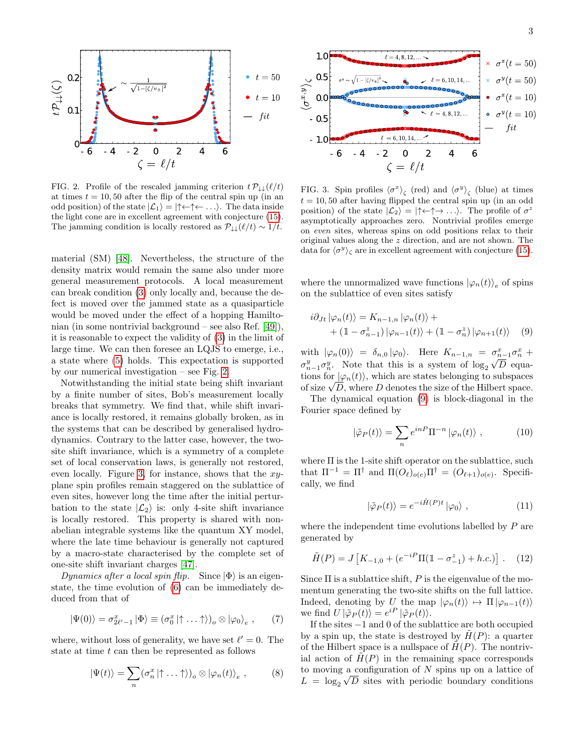

<span id="page-2-0"></span>FIG. 2. Profile of the rescaled jamming criterion  $t \mathcal{P}_{\downarrow\downarrow}(\ell/t)$ at times  $t = 10, 50$  after the flip of the central spin up (in an odd position) of the state  $|\mathcal{L}_1\rangle = |\uparrow \leftarrow \uparrow \leftarrow \dots\rangle$ . The data inside the light cone are in excellent agreement with conjecture [\(15\)](#page-3-0). The jamming condition is locally restored as  $\mathcal{P}_{\downarrow\downarrow}(\ell/t) \sim 1/t$ .

material (SM) [\[48\]](#page-5-12). Nevertheless, the structure of the density matrix would remain the same also under more general measurement protocols. A local measurement can break condition [\(3\)](#page-1-1) only locally and, because the defect is moved over the jammed state as a quasiparticle would be moved under the effect of a hopping Hamiltonian (in some nontrivial background – see also Ref. [\[49\]](#page-5-13)), it is reasonable to expect the validity of [\(3\)](#page-1-1) in the limit of large time. We can then foresee an LQJS to emerge, i.e., a state where [\(5\)](#page-1-2) holds. This expectation is supported by our numerical investigation – see Fig. [2.](#page-2-0)

Notwithstanding the initial state being shift invariant by a finite number of sites, Bob's measurement locally breaks that symmetry. We find that, while shift invariance is locally restored, it remains globally broken, as in the systems that can be described by generalised hydrodynamics. Contrary to the latter case, however, the twosite shift invariance, which is a symmetry of a complete set of local conservation laws, is generally not restored, even locally. Figure [3,](#page-2-1) for instance, shows that the  $xy$ plane spin profiles remain staggered on the sublattice of even sites, however long the time after the initial perturbation to the state  $|\mathcal{L}_2\rangle$  is: only 4-site shift invariance is locally restored. This property is shared with nonabelian integrable systems like the quantum XY model, where the late time behaviour is generally not captured by a macro-state characterised by the complete set of one-site shift invariant charges [\[47\]](#page-5-11).

Dynamics after a local spin flip. Since  $|\Phi\rangle$  is an eigenstate, the time evolution of [\(6\)](#page-1-3) can be immediately deduced from that of

$$
|\Psi(0)\rangle = \sigma_{2\ell'-1}^x |\Phi\rangle \equiv (\sigma_0^x | \uparrow \dots \uparrow \rangle)_o \otimes |\varphi_0\rangle_e , \qquad (7)
$$

where, without loss of generality, we have set  $\ell' = 0$ . The state at time  $t$  can then be represented as follows

<span id="page-2-3"></span>
$$
|\Psi(t)\rangle = \sum_{n} (\sigma_n^x | \uparrow \dots \uparrow \rangle)_o \otimes |\varphi_n(t)\rangle_e , \qquad (8)
$$



<span id="page-2-1"></span>FIG. 3. Spin profiles  $\langle \sigma^x \rangle_{\zeta}$  (red) and  $\langle \sigma^y \rangle_{\zeta}$  (blue) at times  $t = 10, 50$  after having flipped the central spin up (in an odd position) of the state  $|\mathcal{L}_2\rangle = |\uparrow \leftarrow \uparrow \rightarrow \ldots \rangle$ . The profile of  $\sigma^z$ asymptotically approaches zero. Nontrivial profiles emerge on even sites, whereas spins on odd positions relax to their original values along the z direction, and are not shown. The data for  $\langle \sigma^y \rangle_{\zeta}$  are in excellent agreement with conjecture [\(15\)](#page-3-0).

where the unnormalized wave functions  $|\varphi_n(t)\rangle_e$  of spins on the sublattice of even sites satisfy

$$
i\partial_{Jt} |\varphi_n(t)\rangle = K_{n-1,n} |\varphi_n(t)\rangle ++ (1 - \sigma_{n-1}^z) |\varphi_{n-1}(t)\rangle + (1 - \sigma_n^z) |\varphi_{n+1}(t)\rangle \quad (9)
$$

with  $|\varphi_n(0)\rangle = \delta_{n,0} |\varphi_0\rangle$ . Here  $K_{n-1,n} = \sigma_{n-1}^x \sigma_n^x +$  $\sigma_{n-1}^y \sigma_n^y$ . Note that this is a system of  $\log_2 \sqrt{D}$  equations for  $|\varphi_n(t)\rangle$ , which are states belonging to subspaces tions for  $|\varphi_n(t)\rangle$ , which are states belonging to subspaces<br>of size  $\sqrt{D}$ , where D denotes the size of the Hilbert space.

The dynamical equation [\(9\)](#page-2-2) is block-diagonal in the Fourier space defined by

<span id="page-2-2"></span>
$$
|\tilde{\varphi}_P(t)\rangle = \sum_n e^{inP} \Pi^{-n} |\varphi_n(t)\rangle , \qquad (10)
$$

where  $\Pi$  is the 1-site shift operator on the sublattice, such that  $\Pi^{-1} = \Pi^{\dagger}$  and  $\Pi(O_{\ell})_{o(e)}\Pi^{\dagger} = (O_{\ell+1})_{o(e)}$ . Specifically, we find

$$
|\tilde{\varphi}_P(t)\rangle = e^{-i\tilde{H}(P)t} |\varphi_0\rangle , \qquad (11)
$$

where the independent time evolutions labelled by  $P$  are generated by

<span id="page-2-4"></span>
$$
\tilde{H}(P) = J \left[ K_{-1,0} + \left( e^{-iP} \Pi(\mathbb{1} - \sigma^z_{-1}) + h.c. \right) \right]. \tag{12}
$$

Since  $\Pi$  is a sublattice shift,  $P$  is the eigenvalue of the momentum generating the two-site shifts on the full lattice. Indeed, denoting by U the map  $|\varphi_n(t)\rangle \mapsto \Pi |\varphi_{n-1}(t)\rangle$ we find  $U |\tilde{\varphi}_P(t)\rangle = e^{iP} |\tilde{\varphi}_P(t)\rangle$ .

If the sites −1 and 0 of the sublattice are both occupied by a spin up, the state is destroyed by  $H(P)$ : a quarter of the Hilbert space is a nullspace of  $H(P)$ . The nontrivial action of  $H(P)$  in the remaining space corresponds to moving a configuration of  $N$  spins up on a lattice of  $L = \log_2 \sqrt{D}$  sites with periodic boundary conditions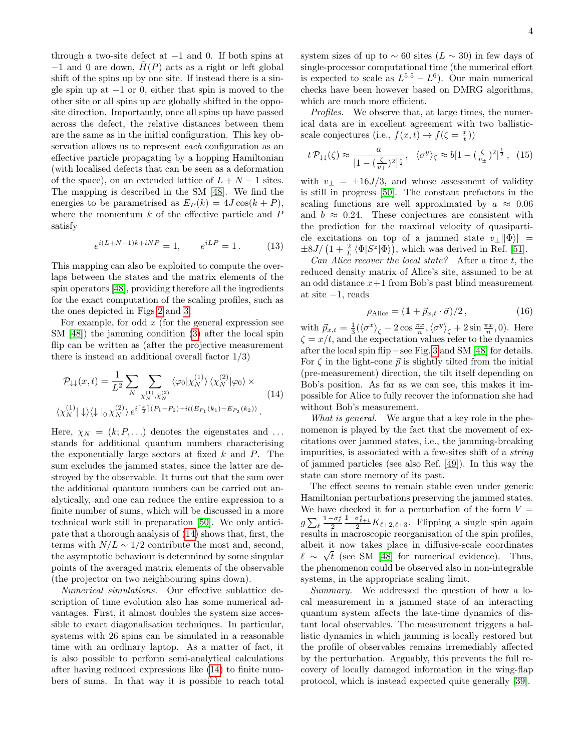through a two-site defect at −1 and 0. If both spins at  $-1$  and 0 are down,  $H(P)$  acts as a right or left global shift of the spins up by one site. If instead there is a single spin up at  $-1$  or 0, either that spin is moved to the other site or all spins up are globally shifted in the opposite direction. Importantly, once all spins up have passed across the defect, the relative distances between them are the same as in the initial configuration. This key observation allows us to represent *each* configuration as an effective particle propagating by a hopping Hamiltonian (with localised defects that can be seen as a deformation of the space), on an extended lattice of  $L + N - 1$  sites. The mapping is described in the SM [\[48\]](#page-5-12). We find the energies to be parametrised as  $E_P(k) = 4J \cos(k + P)$ , where the momentum  $k$  of the effective particle and  $P$ satisfy

$$
e^{i(L+N-1)k+iNP} = 1, \qquad e^{iLP} = 1. \tag{13}
$$

This mapping can also be exploited to compute the overlaps between the states and the matrix elements of the spin operators [\[48\]](#page-5-12), providing therefore all the ingredients for the exact computation of the scaling profiles, such as the ones depicted in Figs [2](#page-2-0) and [3.](#page-2-1)

For example, for odd  $x$  (for the general expression see SM [\[48\]](#page-5-12)) the jamming condition [\(3\)](#page-1-1) after the local spin flip can be written as (after the projective measurement there is instead an additional overall factor  $1/3$ )

$$
\mathcal{P}_{\downarrow\downarrow}(x,t) = \frac{1}{L^2} \sum_{N} \sum_{\chi_N^{(1)},\chi_N^{(2)}} \langle \varphi_0 | \chi_N^{(1)} \rangle \langle \chi_N^{(2)} | \varphi_0 \rangle \times \langle \chi_N^{(1)} | \downarrow \rangle \langle \downarrow |_0 \chi_N^{(2)} \rangle e^{i \left[ \frac{x}{2} \right] (P_1 - P_2) + it(E_{P_1}(k_1) - E_{P_2}(k_2))}.
$$
\n(14)

Here,  $\chi_N = (k; P, \ldots)$  denotes the eigenstates and ... stands for additional quantum numbers characterising the exponentially large sectors at fixed  $k$  and  $P$ . The sum excludes the jammed states, since the latter are destroyed by the observable. It turns out that the sum over the additional quantum numbers can be carried out analytically, and one can reduce the entire expression to a finite number of sums, which will be discussed in a more technical work still in preparation [\[50\]](#page-5-14). We only anticipate that a thorough analysis of [\(14\)](#page-3-1) shows that, first, the terms with  $N/L \sim 1/2$  contribute the most and, second, the asymptotic behaviour is determined by some singular points of the averaged matrix elements of the observable (the projector on two neighbouring spins down).

Numerical simulations. Our effective sublattice description of time evolution also has some numerical advantages. First, it almost doubles the system size accessible to exact diagonalisation techniques. In particular, systems with 26 spins can be simulated in a reasonable time with an ordinary laptop. As a matter of fact, it is also possible to perform semi-analytical calculations after having reduced expressions like [\(14\)](#page-3-1) to finite numbers of sums. In that way it is possible to reach total system sizes of up to  $\sim 60$  sites ( $L \sim 30$ ) in few days of single-processor computational time (the numerical effort is expected to scale as  $L^{5.5} - L^6$ ). Our main numerical checks have been however based on DMRG algorithms, which are much more efficient.

Profiles. We observe that, at large times, the numerical data are in excellent agreement with two ballisticscale conjectures (i.e.,  $f(x,t) \rightarrow f(\zeta = \frac{x}{t})$ )

<span id="page-3-0"></span>
$$
t\,\mathcal{P}_{\downarrow\downarrow}(\zeta) \approx \frac{a}{\left[1 - \left(\frac{\zeta}{v_{\pm}}\right)^2\right]^{\frac{1}{2}}}, \quad \langle \sigma^y \rangle_{\zeta} \approx b\left[1 - \left(\frac{\zeta}{v_{\pm}}\right)^2\right]^{\frac{1}{2}}, \quad (15)
$$

with  $v_{\pm} = \pm 16J/3$ , and whose assessment of validity is still in progress [\[50\]](#page-5-14). The constant prefactors in the scaling functions are well approximated by  $a \approx 0.06$ and  $b \approx 0.24$ . These conjectures are consistent with the prediction for the maximal velocity of quasiparticle excitations on top of a jammed state  $v_{\pm}$ [ $|\Phi\rangle$ ] =  $\pm 8J/\left(1+\frac{2}{L}\left\langle\Phi|S^z|\Phi\right\rangle\right)$ , which was derived in Ref. [\[51\]](#page-5-15).

Can Alice recover the local state? After a time  $t$ , the reduced density matrix of Alice's site, assumed to be at an odd distance  $x+1$  from Bob's past blind measurement at site  $-1$ , reads

$$
\rho_{\text{Alice}} = (\mathbb{1} + \vec{p}_{x,t} \cdot \vec{\sigma})/2, \qquad (16)
$$

with  $\vec{p}_{x,t} = \frac{1}{3} (\langle \sigma^x \rangle_{\zeta} - 2 \cos \frac{\pi x}{n}, \langle \sigma^y \rangle_{\zeta} + 2 \sin \frac{\pi x}{n}, 0)$ . Here  $\zeta = x/t$ , and the expectation values refer to the dynamics after the local spin flip – see Fig. [3](#page-2-1) and SM [\[48\]](#page-5-12) for details. For  $\zeta$  in the light-cone  $\vec{p}$  is slightly tilted from the initial (pre-measurement) direction, the tilt itself depending on Bob's position. As far as we can see, this makes it impossible for Alice to fully recover the information she had without Bob's measurement.

<span id="page-3-1"></span>What is general. We argue that a key role in the phenomenon is played by the fact that the movement of excitations over jammed states, i.e., the jamming-breaking impurities, is associated with a few-sites shift of a string of jammed particles (see also Ref. [\[49\]](#page-5-13)). In this way the state can store memory of its past.

The effect seems to remain stable even under generic Hamiltonian perturbations preserving the jammed states. We have checked it for a perturbation of the form  $V =$  $g \sum_{\ell}$  $\frac{1-\sigma_\ell^z}{2}$  $\frac{1-\sigma_{\ell+1}^2}{2}K_{\ell+2,\ell+3}$ . Flipping a single spin again results in macroscopic reorganisation of the spin profiles, albeit it now takes place in diffusive-scale coordinates  $\ell \sim \sqrt{t}$  (see SM [\[48\]](#page-5-12) for numerical evidence). Thus, the phenomenon could be observed also in non-integrable systems, in the appropriate scaling limit.

Summary. We addressed the question of how a local measurement in a jammed state of an interacting quantum system affects the late-time dynamics of distant local observables. The measurement triggers a ballistic dynamics in which jamming is locally restored but the profile of observables remains irremediably affected by the perturbation. Arguably, this prevents the full recovery of locally damaged information in the wing-flap protocol, which is instead expected quite generally [\[39\]](#page-5-3).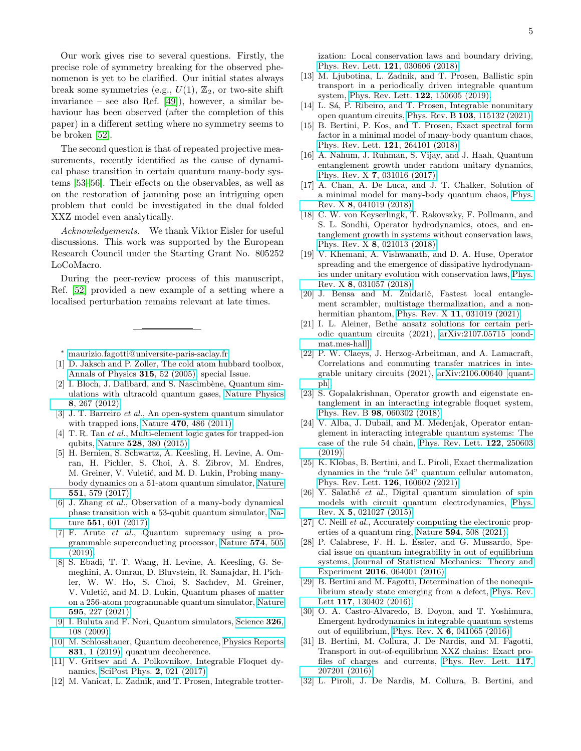Our work gives rise to several questions. Firstly, the precise role of symmetry breaking for the observed phenomenon is yet to be clarified. Our initial states always break some symmetries (e.g.,  $U(1)$ ,  $\mathbb{Z}_2$ , or two-site shift invariance – see also Ref. [\[49\]](#page-5-13)), however, a similar behaviour has been observed (after the completion of this paper) in a different setting where no symmetry seems to be broken [\[52\]](#page-5-16).

The second question is that of repeated projective measurements, recently identified as the cause of dynamical phase transition in certain quantum many-body systems [\[53](#page-5-17)[–56\]](#page-5-18). Their effects on the observables, as well as on the restoration of jamming pose an intriguing open problem that could be investigated in the dual folded XXZ model even analytically.

Acknowledgements. We thank Viktor Eisler for useful discussions. This work was supported by the European Research Council under the Starting Grant No. 805252 LoCoMacro.

During the peer-review process of this manuscript, Ref. [\[52\]](#page-5-16) provided a new example of a setting where a localised perturbation remains relevant at late times.

<span id="page-4-0"></span><sup>∗</sup> [maurizio.fagotti@universite-paris-saclay.fr](mailto:maurizio.fagotti@universite-paris-saclay.fr)

- <span id="page-4-1"></span>[1] D. Jaksch and P. Zoller, The cold atom hubbard toolbox, [Annals of Physics](https://doi.org/https://doi.org/10.1016/j.aop.2004.09.010) 315, 52 (2005), special Issue.
- [2] I. Bloch, J. Dalibard, and S. Nascimbène, Quantum simulations with ultracold quantum gases, [Nature Physics](https://doi.org/10.1038/nphys2259) 8[, 267 \(2012\).](https://doi.org/10.1038/nphys2259)
- [3] J. T. Barreiro et al., An open-system quantum simulator with trapped ions, Nature 470[, 486 \(2011\).](https://doi.org/10.1038/nature09801)
- <span id="page-4-2"></span>[4] T. R. Tan et al., Multi-element logic gates for trapped-ion qubits, Nature 528[, 380 \(2015\).](https://doi.org/10.1038/nature16186)
- <span id="page-4-3"></span>[5] H. Bernien, S. Schwartz, A. Keesling, H. Levine, A. Omran, H. Pichler, S. Choi, A. S. Zibrov, M. Endres, M. Greiner, V. Vuletić, and M. D. Lukin, Probing manybody dynamics on a 51-atom quantum simulator, [Nature](https://doi.org/10.1038/nature24622) 551[, 579 \(2017\).](https://doi.org/10.1038/nature24622)
- [6] J. Zhang et al., Observation of a many-body dynamical phase transition with a 53-qubit quantum simulator, [Na](https://doi.org/10.1038/nature24654)ture 551[, 601 \(2017\).](https://doi.org/10.1038/nature24654)
- [7] F. Arute et al., Quantum supremacy using a programmable superconducting processor, [Nature](https://doi.org/10.1038/s41586-019-1666-5) 574, 505 [\(2019\).](https://doi.org/10.1038/s41586-019-1666-5)
- <span id="page-4-4"></span>[8] S. Ebadi, T. T. Wang, H. Levine, A. Keesling, G. Semeghini, A. Omran, D. Bluvstein, R. Samajdar, H. Pichler, W. W. Ho, S. Choi, S. Sachdev, M. Greiner, V. Vuletić, and M. D. Lukin, Quantum phases of matter on a 256-atom programmable quantum simulator, [Nature](https://doi.org/10.1038/s41586-021-03582-4) 595[, 227 \(2021\).](https://doi.org/10.1038/s41586-021-03582-4)
- <span id="page-4-5"></span>[9] I. Buluta and F. Nori, Quantum simulators, [Science](https://doi.org/10.1126/science.1177838) 326, [108 \(2009\).](https://doi.org/10.1126/science.1177838)
- <span id="page-4-6"></span>[10] M. Schlosshauer, Quantum decoherence, [Physics Reports](https://doi.org/https://doi.org/10.1016/j.physrep.2019.10.001) 831[, 1 \(2019\),](https://doi.org/https://doi.org/10.1016/j.physrep.2019.10.001) quantum decoherence.
- <span id="page-4-7"></span>[11] V. Gritsev and A. Polkovnikov, Integrable Floquet dynamics, [SciPost Phys.](https://doi.org/10.21468/SciPostPhys.2.3.021) 2, 021 (2017).
- [12] M. Vanicat, L. Zadnik, and T. Prosen, Integrable trotter-

ization: Local conservation laws and boundary driving, [Phys. Rev. Lett.](https://doi.org/10.1103/PhysRevLett.121.030606) 121, 030606 (2018).

- [13] M. Ljubotina, L. Zadnik, and T. Prosen, Ballistic spin transport in a periodically driven integrable quantum system, [Phys. Rev. Lett.](https://doi.org/10.1103/PhysRevLett.122.150605) 122, 150605 (2019).
- <span id="page-4-8"></span>[14] L. Sá, P. Ribeiro, and T. Prosen, Integrable nonunitary open quantum circuits, Phys. Rev. B 103[, 115132 \(2021\).](https://doi.org/10.1103/PhysRevB.103.115132)
- <span id="page-4-9"></span>[15] B. Bertini, P. Kos, and T. Prosen, Exact spectral form factor in a minimal model of many-body quantum chaos, [Phys. Rev. Lett.](https://doi.org/10.1103/PhysRevLett.121.264101) 121, 264101 (2018).
- [16] A. Nahum, J. Ruhman, S. Vijay, and J. Haah, Quantum entanglement growth under random unitary dynamics, Phys. Rev. X 7[, 031016 \(2017\).](https://doi.org/10.1103/PhysRevX.7.031016)
- [17] A. Chan, A. De Luca, and J. T. Chalker, Solution of a minimal model for many-body quantum chaos, [Phys.](https://doi.org/10.1103/PhysRevX.8.041019) Rev. X 8[, 041019 \(2018\).](https://doi.org/10.1103/PhysRevX.8.041019)
- [18] C. W. von Keyserlingk, T. Rakovszky, F. Pollmann, and S. L. Sondhi, Operator hydrodynamics, otocs, and entanglement growth in systems without conservation laws, Phys. Rev. X 8[, 021013 \(2018\).](https://doi.org/10.1103/PhysRevX.8.021013)
- [19] V. Khemani, A. Vishwanath, and D. A. Huse, Operator spreading and the emergence of dissipative hydrodynamics under unitary evolution with conservation laws, [Phys.](https://doi.org/10.1103/PhysRevX.8.031057) Rev. X 8[, 031057 \(2018\).](https://doi.org/10.1103/PhysRevX.8.031057)
- <span id="page-4-10"></span>[20] J. Bensa and M. Žnidarič, Fastest local entanglement scrambler, multistage thermalization, and a nonhermitian phantom, Phys. Rev. X 11[, 031019 \(2021\).](https://doi.org/10.1103/PhysRevX.11.031019)
- <span id="page-4-11"></span>[21] I. L. Aleiner, Bethe ansatz solutions for certain periodic quantum circuits (2021), [arXiv:2107.05715 \[cond](https://arxiv.org/abs/2107.05715)[mat.mes-hall\].](https://arxiv.org/abs/2107.05715)
- [22] P. W. Claeys, J. Herzog-Arbeitman, and A. Lamacraft, Correlations and commuting transfer matrices in integrable unitary circuits (2021), [arXiv:2106.00640 \[quant](https://arxiv.org/abs/2106.00640)[ph\].](https://arxiv.org/abs/2106.00640)
- [23] S. Gopalakrishnan, Operator growth and eigenstate entanglement in an interacting integrable floquet system, Phys. Rev. B 98[, 060302 \(2018\).](https://doi.org/10.1103/PhysRevB.98.060302)
- [24] V. Alba, J. Dubail, and M. Medenjak, Operator entanglement in interacting integrable quantum systems: The case of the rule 54 chain, [Phys. Rev. Lett.](https://doi.org/10.1103/PhysRevLett.122.250603) 122, 250603 [\(2019\).](https://doi.org/10.1103/PhysRevLett.122.250603)
- <span id="page-4-12"></span>[25] K. Klobas, B. Bertini, and L. Piroli, Exact thermalization dynamics in the "rule 54" quantum cellular automaton, [Phys. Rev. Lett.](https://doi.org/10.1103/PhysRevLett.126.160602) 126, 160602 (2021).
- <span id="page-4-13"></span>[26] Y. Salathé *et al.*, Digital quantum simulation of spin models with circuit quantum electrodynamics, [Phys.](https://doi.org/10.1103/PhysRevX.5.021027) Rev. X 5[, 021027 \(2015\).](https://doi.org/10.1103/PhysRevX.5.021027)
- <span id="page-4-14"></span>[27] C. Neill *et al.*, Accurately computing the electronic properties of a quantum ring, Nature 594[, 508 \(2021\).](https://doi.org/10.1038/s41586-021-03576-2)
- <span id="page-4-15"></span>[28] P. Calabrese, F. H. L. Essler, and G. Mussardo, Special issue on quantum integrability in out of equilibrium systems, [Journal of Statistical Mechanics: Theory and](https://doi.org/10.1088/1742-5468/2016/06/064001) Experiment 2016[, 064001 \(2016\).](https://doi.org/10.1088/1742-5468/2016/06/064001)
- <span id="page-4-16"></span>[29] B. Bertini and M. Fagotti, Determination of the nonequilibrium steady state emerging from a defect, [Phys. Rev.](https://doi.org/10.1103/PhysRevLett.117.130402) Lett 117[, 130402 \(2016\).](https://doi.org/10.1103/PhysRevLett.117.130402)
- [30] O. A. Castro-Alvaredo, B. Doyon, and T. Yoshimura, Emergent hydrodynamics in integrable quantum systems out of equilibrium, Phys. Rev. X 6[, 041065 \(2016\).](https://doi.org/10.1103/PhysRevX.6.041065)
- <span id="page-4-17"></span>[31] B. Bertini, M. Collura, J. De Nardis, and M. Fagotti, Transport in out-of-equilibrium XXZ chains: Exact profiles of charges and currents, [Phys. Rev. Lett.](https://doi.org/10.1103/PhysRevLett.117.207201) 117, [207201 \(2016\).](https://doi.org/10.1103/PhysRevLett.117.207201)
- <span id="page-4-18"></span>[32] L. Piroli, J. De Nardis, M. Collura, B. Bertini, and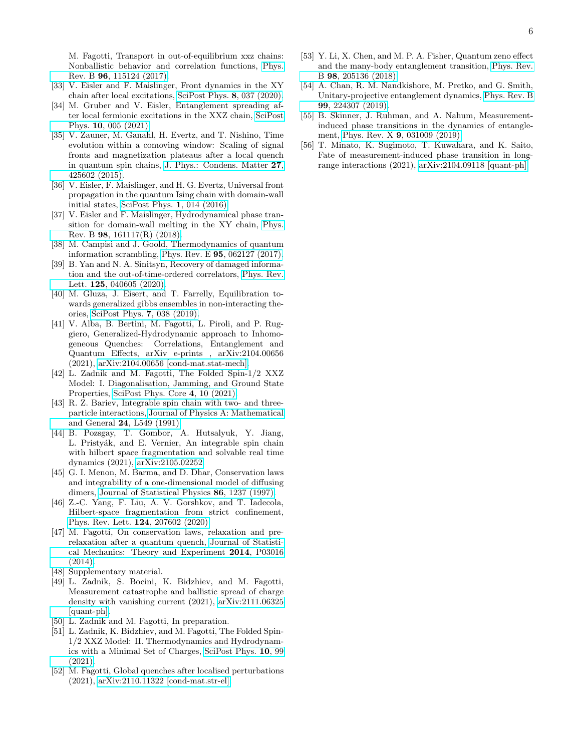M. Fagotti, Transport in out-of-equilibrium xxz chains: Nonballistic behavior and correlation functions, [Phys.](https://doi.org/10.1103/PhysRevB.96.115124) Rev. B 96[, 115124 \(2017\).](https://doi.org/10.1103/PhysRevB.96.115124)

- <span id="page-5-0"></span>[33] V. Eisler and F. Maislinger, Front dynamics in the XY chain after local excitations, [SciPost Phys.](https://doi.org/10.21468/SciPostPhys.8.3.037) 8, 037 (2020).
- [34] M. Gruber and V. Eisler, Entanglement spreading after local fermionic excitations in the XXZ chain, [SciPost](https://doi.org/10.21468/SciPostPhys.10.1.005) Phys. 10[, 005 \(2021\).](https://doi.org/10.21468/SciPostPhys.10.1.005)
- [35] V. Zauner, M. Ganahl, H. Evertz, and T. Nishino, Time evolution within a comoving window: Scaling of signal fronts and magnetization plateaus after a local quench in quantum spin chains, [J. Phys.: Condens. Matter](https://doi.org/10.1088/0953-8984/27/42/425602) 27, [425602 \(2015\).](https://doi.org/10.1088/0953-8984/27/42/425602)
- [36] V. Eisler, F. Maislinger, and H. G. Evertz, Universal front propagation in the quantum Ising chain with domain-wall initial states, [SciPost Phys.](https://doi.org/10.21468/SciPostPhys.1.2.014) 1, 014 (2016).
- <span id="page-5-1"></span>[37] V. Eisler and F. Maislinger, Hydrodynamical phase transition for domain-wall melting in the XY chain, [Phys.](https://doi.org/10.1103/PhysRevB.98.161117) Rev. B 98[, 161117\(R\) \(2018\).](https://doi.org/10.1103/PhysRevB.98.161117)
- <span id="page-5-2"></span>[38] M. Campisi and J. Goold, Thermodynamics of quantum information scrambling, Phys. Rev. E 95[, 062127 \(2017\).](https://doi.org/10.1103/PhysRevE.95.062127)
- <span id="page-5-3"></span>[39] B. Yan and N. A. Sinitsyn, Recovery of damaged information and the out-of-time-ordered correlators, [Phys. Rev.](https://doi.org/10.1103/PhysRevLett.125.040605) Lett. 125[, 040605 \(2020\).](https://doi.org/10.1103/PhysRevLett.125.040605)
- <span id="page-5-4"></span>[40] M. Gluza, J. Eisert, and T. Farrelly, Equilibration towards generalized gibbs ensembles in non-interacting theories, [SciPost Phys.](https://doi.org/10.21468/SciPostPhys.7.3.038) 7, 038 (2019).
- <span id="page-5-5"></span>[41] V. Alba, B. Bertini, M. Fagotti, L. Piroli, and P. Ruggiero, Generalized-Hydrodynamic approach to Inhomogeneous Quenches: Correlations, Entanglement and Quantum Effects, arXiv e-prints , arXiv:2104.00656 (2021), [arXiv:2104.00656 \[cond-mat.stat-mech\].](https://arxiv.org/abs/2104.00656)
- <span id="page-5-6"></span>[42] L. Zadnik and M. Fagotti, The Folded Spin-1/2 XXZ Model: I. Diagonalisation, Jamming, and Ground State Properties, [SciPost Phys. Core](https://doi.org/10.21468/SciPostPhysCore.4.2.010) 4, 10 (2021).
- <span id="page-5-7"></span>[43] R. Z. Bariev, Integrable spin chain with two- and threeparticle interactions, [Journal of Physics A: Mathematical](https://doi.org/10.1088/0305-4470/24/10/010) and General 24[, L549 \(1991\).](https://doi.org/10.1088/0305-4470/24/10/010)
- <span id="page-5-8"></span>[44] B. Pozsgay, T. Gombor, A. Hutsalyuk, Y. Jiang, L. Pristyák, and E. Vernier, An integrable spin chain with hilbert space fragmentation and solvable real time dynamics (2021), [arXiv:2105.02252.](https://arxiv.org/abs/arXiv:2105.02252)
- <span id="page-5-9"></span>[45] G. I. Menon, M. Barma, and D. Dhar, Conservation laws and integrability of a one-dimensional model of diffusing dimers, [Journal of Statistical Physics](https://doi.org/10.1007/BF02183622) 86, 1237 (1997).
- <span id="page-5-10"></span>[46] Z.-C. Yang, F. Liu, A. V. Gorshkov, and T. Iadecola, Hilbert-space fragmentation from strict confinement, [Phys. Rev. Lett.](https://doi.org/10.1103/PhysRevLett.124.207602) 124, 207602 (2020).
- <span id="page-5-11"></span>[47] M. Fagotti, On conservation laws, relaxation and prerelaxation after a quantum quench, [Journal of Statisti](https://doi.org/10.1088/1742-5468/2014/03/p03016)[cal Mechanics: Theory and Experiment](https://doi.org/10.1088/1742-5468/2014/03/p03016) 2014, P03016 [\(2014\).](https://doi.org/10.1088/1742-5468/2014/03/p03016)
- <span id="page-5-12"></span>[48] Supplementary material.
- <span id="page-5-13"></span>[49] L. Zadnik, S. Bocini, K. Bidzhiev, and M. Fagotti, Measurement catastrophe and ballistic spread of charge density with vanishing current (2021), [arXiv:2111.06325](https://arxiv.org/abs/2111.06325) [\[quant-ph\].](https://arxiv.org/abs/2111.06325)
- <span id="page-5-14"></span>[50] L. Zadnik and M. Fagotti, In preparation.
- <span id="page-5-15"></span>[51] L. Zadnik, K. Bidzhiev, and M. Fagotti, The Folded Spin-1/2 XXZ Model: II. Thermodynamics and Hydrodynamics with a Minimal Set of Charges, [SciPost Phys.](https://doi.org/10.21468/SciPostPhys.10.5.099) 10, 99 [\(2021\).](https://doi.org/10.21468/SciPostPhys.10.5.099)
- <span id="page-5-16"></span>[52] M. Fagotti, Global quenches after localised perturbations (2021), [arXiv:2110.11322 \[cond-mat.str-el\].](https://arxiv.org/abs/2110.11322)
- <span id="page-5-17"></span>[53] Y. Li, X. Chen, and M. P. A. Fisher, Quantum zeno effect and the many-body entanglement transition, [Phys. Rev.](https://doi.org/10.1103/PhysRevB.98.205136) B 98[, 205136 \(2018\).](https://doi.org/10.1103/PhysRevB.98.205136)
- [54] A. Chan, R. M. Nandkishore, M. Pretko, and G. Smith, Unitary-projective entanglement dynamics, [Phys. Rev. B](https://doi.org/10.1103/PhysRevB.99.224307) 99[, 224307 \(2019\).](https://doi.org/10.1103/PhysRevB.99.224307)
- [55] B. Skinner, J. Ruhman, and A. Nahum, Measurementinduced phase transitions in the dynamics of entanglement, Phys. Rev. X 9[, 031009 \(2019\).](https://doi.org/10.1103/PhysRevX.9.031009)
- <span id="page-5-18"></span>[56] T. Minato, K. Sugimoto, T. Kuwahara, and K. Saito, Fate of measurement-induced phase transition in longrange interactions (2021), [arXiv:2104.09118 \[quant-ph\].](https://arxiv.org/abs/2104.09118)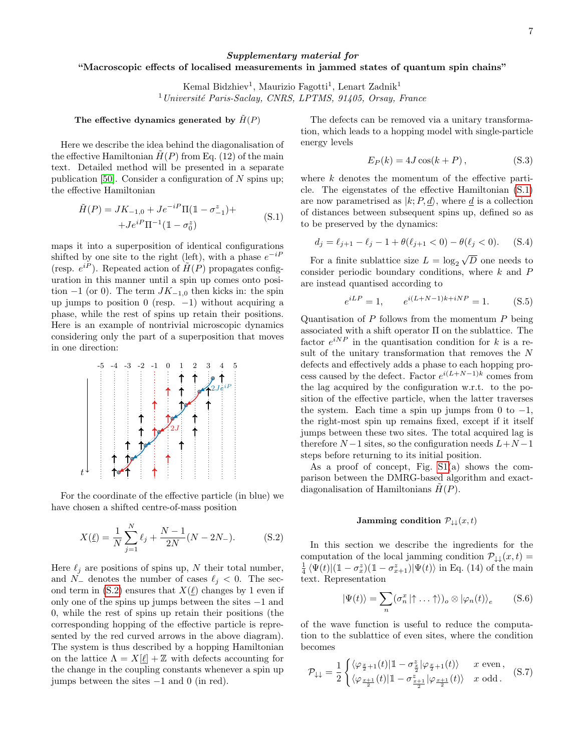# Supplementary material for "Macroscopic effects of localised measurements in jammed states of quantum spin chains"

Kemal Bidzhiev<sup>1</sup>, Maurizio Fagotti<sup>1</sup>, Lenart Zadnik<sup>1</sup>  $1$ Université Paris-Saclay, CNRS, LPTMS, 91405, Orsay, France

## The effective dynamics generated by  $\tilde{H}(P)$

Here we describe the idea behind the diagonalisation of the effective Hamiltonian  $H(P)$  from Eq. (12) of the main text. Detailed method will be presented in a separate publication [\[50\]](#page-5-14). Consider a configuration of  $N$  spins up; the effective Hamiltonian

$$
\tilde{H}(P) = JK_{-1,0} + Je^{-iP}\Pi(\mathbb{1} - \sigma_{-1}^z) ++Je^{iP}\Pi^{-1}(\mathbb{1} - \sigma_0^z)
$$
\n(S.1)

maps it into a superposition of identical configurations shifted by one site to the right (left), with a phase  $e^{-iP}$ (resp.  $e^{i\tilde{P}}$ ). Repeated action of  $H(P)$  propagates configuration in this manner until a spin up comes onto position −1 (or 0). The term  $JK_{-1,0}$  then kicks in: the spin up jumps to position 0 (resp.  $-1$ ) without acquiring a phase, while the rest of spins up retain their positions. Here is an example of nontrivial microscopic dynamics considering only the part of a superposition that moves in one direction:



For the coordinate of the effective particle (in blue) we have chosen a shifted centre-of-mass position

$$
X(\underline{\ell}) = \frac{1}{N} \sum_{j=1}^{N} \ell_j + \frac{N-1}{2N} (N - 2N_{-}).
$$
 (S.2)

Here  $\ell_j$  are positions of spins up, N their total number, and  $N_-\$  denotes the number of cases  $\ell_j < 0$ . The sec-ond term in [\(S.2\)](#page-1-0) ensures that  $X(\underline{\ell})$  changes by 1 even if only one of the spins up jumps between the sites −1 and 0, while the rest of spins up retain their positions (the corresponding hopping of the effective particle is represented by the red curved arrows in the above diagram). The system is thus described by a hopping Hamiltonian on the lattice  $\Lambda = X[\ell] + \mathbb{Z}$  with defects accounting for the change in the coupling constants whenever a spin up jumps between the sites −1 and 0 (in red).

The defects can be removed via a unitary transformation, which leads to a hopping model with single-particle energy levels

$$
E_P(k) = 4J\cos(k+P), \qquad (S.3)
$$

where  $k$  denotes the momentum of the effective particle. The eigenstates of the effective Hamiltonian [\(S.1\)](#page-1-4) are now parametrised as  $|k; P, \underline{d}\rangle$ , where  $\underline{d}$  is a collection of distances between subsequent spins up, defined so as to be preserved by the dynamics:

$$
d_j = \ell_{j+1} - \ell_j - 1 + \theta(\ell_{j+1} < 0) - \theta(\ell_j < 0). \tag{S.4}
$$

For a finite sublattice size  $L = \log_2$ D one needs to consider periodic boundary conditions, where  $k$  and  $P$ are instead quantised according to

$$
e^{iLP} = 1, \qquad e^{i(L+N-1)k+iNP} = 1. \tag{S.5}
$$

Quantisation of  $P$  follows from the momentum  $P$  being associated with a shift operator Π on the sublattice. The factor  $e^{iNP}$  in the quantisation condition for k is a result of the unitary transformation that removes the N defects and effectively adds a phase to each hopping process caused by the defect. Factor  $e^{i(L+N-1)k}$  comes from the lag acquired by the configuration w.r.t. to the position of the effective particle, when the latter traverses the system. Each time a spin up jumps from 0 to  $-1$ , the right-most spin up remains fixed, except if it itself jumps between these two sites. The total acquired lag is therefore  $N-1$  sites, so the configuration needs  $L+N-1$ steps before returning to its initial position.

As a proof of concept, Fig. [S1\(](#page-0-0)a) shows the comparison between the DMRG-based algorithm and exactdiagonalisation of Hamiltonians  $\hat{H}(P)$ .

### Jamming condition  $\mathcal{P}_{\downarrow\downarrow}(x,t)$

In this section we describe the ingredients for the computation of the local jamming condition  $\mathcal{P}_{\downarrow\downarrow}(x,t) =$  $\frac{1}{4} \langle \Psi(t) | (\mathbb{1} - \sigma_x^z)(\mathbb{1} - \sigma_{x+1}^z) | \Psi(t) \rangle$  in Eq. (14) of the main text. Representation

$$
|\Psi(t)\rangle = \sum_{n} (\sigma_n^x | \uparrow \dots \uparrow \rangle)_o \otimes |\varphi_n(t)\rangle_e \qquad (S.6)
$$

of the wave function is useful to reduce the computation to the sublattice of even sites, where the condition becomes

$$
\mathcal{P}_{\downarrow\downarrow} = \frac{1}{2} \begin{cases} \langle \varphi_{\frac{x}{2}+1}(t) | 1 - \sigma_{\frac{x}{2}}^z | \varphi_{\frac{x}{2}+1}(t) \rangle & x \text{ even,} \\ \langle \varphi_{\frac{x+1}{2}}(t) | 1 - \sigma_{\frac{x+1}{2}}^z | \varphi_{\frac{x+1}{2}}(t) \rangle & x \text{ odd.} \end{cases} (S.7)
$$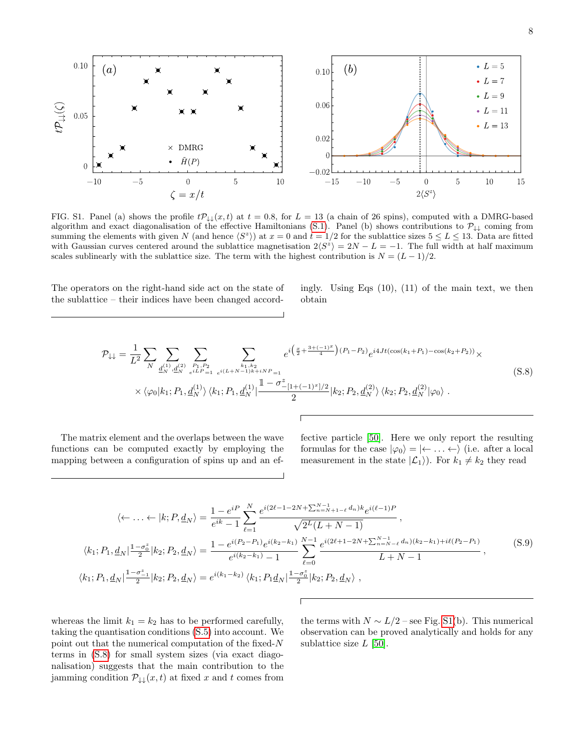

FIG. S1. Panel (a) shows the profile  $t\mathcal{P}_{\downarrow\downarrow}(x,t)$  at  $t = 0.8$ , for  $L = 13$  (a chain of 26 spins), computed with a DMRG-based algorithm and exact diagonalisation of the effective Hamiltonians [\(S.1\)](#page-1-4). Panel (b) shows contributions to  $\mathcal{P}_{\downarrow\downarrow}$  coming from summing the elements with given N (and hence  $\langle S^z \rangle$ ) at  $x = 0$  and  $t = 1/2$  for the sublattice sizes  $5 \le L \le 13$ . Data are fitted with Gaussian curves centered around the sublattice magnetisation  $2\langle S^z \rangle = 2N - L = -1$ . The full width at half maximum scales sublinearly with the sublattice size. The term with the highest contribution is  $N = (L - 1)/2$ .

The operators on the right-hand side act on the state of the sublattice – their indices have been changed accordingly. Using Eqs (10), (11) of the main text, we then obtain

$$
\mathcal{P}_{\downarrow\downarrow} = \frac{1}{L^2} \sum_{N} \sum_{\underline{d}_{N}^{(1)}, \underline{d}_{N}^{(2)}} \sum_{\substack{P_1, P_2 \\ e^{iL P_{-1}}} \sum_{e^{i(L+N-1)k+iNP_{-1}}} e^{i\left(\frac{x}{2} + \frac{3+(-1)^x}{4}\right)(P_1 - P_2)} e^{i4Jt(\cos(k_1 + P_1) - \cos(k_2 + P_2))} \times \times \langle \varphi_0 | k_1; P_1, \underline{d}_{N}^{(1)} \rangle \langle k_1; P_1, \underline{d}_{N}^{(1)} | \frac{1 - \sigma_{-[1+(-1)^x]/2}^z}{2} | k_2; P_2, \underline{d}_{N}^{(2)} \rangle \langle k_2; P_2, \underline{d}_{N}^{(2)} | \varphi_0 \rangle.
$$
\n(S.8)

The matrix element and the overlaps between the wave functions can be computed exactly by employing the mapping between a configuration of spins up and an effective particle [\[50\]](#page-5-14). Here we only report the resulting formulas for the case  $|\varphi_0\rangle = | \leftarrow \dots \leftarrow \rangle$  (i.e. after a local measurement in the state  $|\mathcal{L}_1\rangle$ ). For  $k_1 \neq k_2$  they read

$$
\langle \leftarrow \dots \leftarrow |k; P, \underline{d}_N \rangle = \frac{1 - e^{iP}}{e^{ik} - 1} \sum_{\ell=1}^N \frac{e^{i(2\ell - 1 - 2N + \sum_{n=N+1-\ell}^{N-1} d_n)k} e^{i(\ell-1)P}}{\sqrt{2^L (L + N - 1)}},
$$
  

$$
\langle k_1; P_1, \underline{d}_N | \frac{1 - \sigma_0^z}{2} | k_2; P_2, \underline{d}_N \rangle = \frac{1 - e^{i(P_2 - P_1)} e^{i(k_2 - k_1)} \sum_{\ell=0}^{N-1} e^{i(2\ell + 1 - 2N + \sum_{n=N-\ell}^{N-1} d_n)(k_2 - k_1) + i\ell(P_2 - P_1)}{L + N - 1},
$$
  

$$
\langle k_1; P_1, \underline{d}_N | \frac{1 - \sigma_{-1}^z}{2} | k_2; P_2, \underline{d}_N \rangle = e^{i(k_1 - k_2)} \langle k_1; P_1 \underline{d}_N | \frac{1 - \sigma_0^z}{2} | k_2; P_2, \underline{d}_N \rangle,
$$
  

$$
(S.9)
$$

whereas the limit  $k_1 = k_2$  has to be performed carefully, taking the quantisation conditions [\(S.5\)](#page-1-2) into account. We point out that the numerical computation of the fixed-N terms in [\(S.8\)](#page-2-3) for small system sizes (via exact diagonalisation) suggests that the main contribution to the jamming condition  $\mathcal{P}_{\downarrow\downarrow}(x,t)$  at fixed x and t comes from

the terms with  $N \sim L/2$  – see Fig. [S1\(](#page-0-0)b). This numerical observation can be proved analytically and holds for any sublattice size  $L$  [\[50\]](#page-5-14).